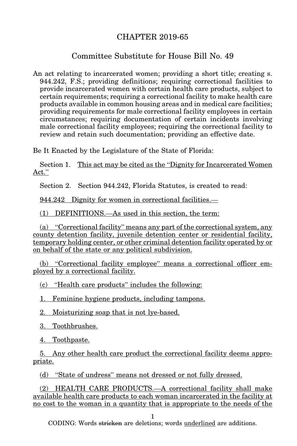## CHAPTER 2019-65

## Committee Substitute for House Bill No. 49

An act relating to incarcerated women; providing a short title; creating s. 944.242, F.S.; providing definitions; requiring correctional facilities to provide incarcerated women with certain health care products, subject to certain requirements; requiring a correctional facility to make health care products available in common housing areas and in medical care facilities; providing requirements for male correctional facility employees in certain circumstances; requiring documentation of certain incidents involving male correctional facility employees; requiring the correctional facility to review and retain such documentation; providing an effective date.

Be It Enacted by the Legislature of the State of Florida:

Section 1. This act may be cited as the "Dignity for Incarcerated Women Act."

Section 2. Section 944.242, Florida Statutes, is created to read:

944.242 Dignity for women in correctional facilities.—

(1) DEFINITIONS.—As used in this section, the term:

(a) "Correctional facility" means any part of the correctional system, any county detention facility, juvenile detention center or residential facility, temporary holding center, or other criminal detention facility operated by or on behalf of the state or any political subdivision.

(b) "Correctional facility employee" means a correctional officer employed by a correctional facility.

(c) "Health care products" includes the following:

1. Feminine hygiene products, including tampons.

2. Moisturizing soap that is not lye-based.

3. Toothbrushes.

4. Toothpaste.

5. Any other health care product the correctional facility deems appropriate.

(d) "State of undress" means not dressed or not fully dressed.

(2) HEALTH CARE PRODUCTS.—A correctional facility shall make available health care products to each woman incarcerated in the facility at no cost to the woman in a quantity that is appropriate to the needs of the

1

CODING: Words stricken are deletions; words underlined are additions.